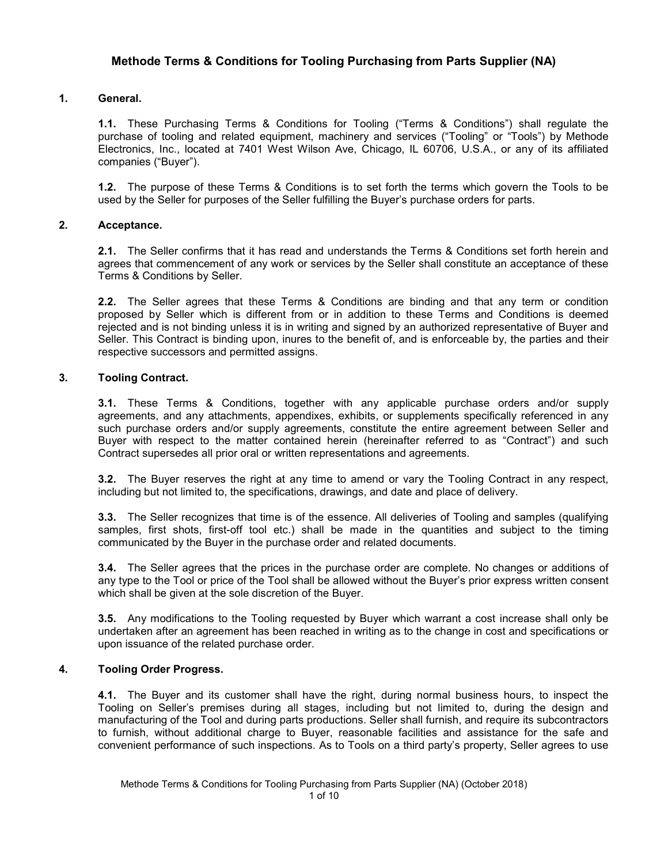# **Methode Terms & Conditions for Tooling Purchasing from Parts Supplier (NA)**

## **1. General.**

**1.1.** These Purchasing Terms & Conditions for Tooling ("Terms & Conditions") shall regulate the purchase of tooling and related equipment, machinery and services ("Tooling" or "Tools") by Methode Electronics, Inc., located at 7401 West Wilson Ave, Chicago, IL 60706, U.S.A., or any of its affiliated companies ("Buyer").

**1.2.** The purpose of these Terms & Conditions is to set forth the terms which govern the Tools to be used by the Seller for purposes of the Seller fulfilling the Buyer's purchase orders for parts.

## **2. Acceptance.**

**2.1.** The Seller confirms that it has read and understands the Terms & Conditions set forth herein and agrees that commencement of any work or services by the Seller shall constitute an acceptance of these Terms & Conditions by Seller.

**2.2.** The Seller agrees that these Terms & Conditions are binding and that any term or condition proposed by Seller which is different from or in addition to these Terms and Conditions is deemed rejected and is not binding unless it is in writing and signed by an authorized representative of Buyer and Seller. This Contract is binding upon, inures to the benefit of, and is enforceable by, the parties and their respective successors and permitted assigns.

## **3. Tooling Contract.**

**3.1.** These Terms & Conditions, together with any applicable purchase orders and/or supply agreements, and any attachments, appendixes, exhibits, or supplements specifically referenced in any such purchase orders and/or supply agreements, constitute the entire agreement between Seller and Buyer with respect to the matter contained herein (hereinafter referred to as "Contract") and such Contract supersedes all prior oral or written representations and agreements.

**3.2.** The Buyer reserves the right at any time to amend or vary the Tooling Contract in any respect, including but not limited to, the specifications, drawings, and date and place of delivery.

**3.3.** The Seller recognizes that time is of the essence. All deliveries of Tooling and samples (qualifying samples, first shots, first-off tool etc.) shall be made in the quantities and subject to the timing communicated by the Buyer in the purchase order and related documents.

**3.4.** The Seller agrees that the prices in the purchase order are complete. No changes or additions of any type to the Tool or price of the Tool shall be allowed without the Buyer's prior express written consent which shall be given at the sole discretion of the Buyer.

**3.5.** Any modifications to the Tooling requested by Buyer which warrant a cost increase shall only be undertaken after an agreement has been reached in writing as to the change in cost and specifications or upon issuance of the related purchase order.

## **4. Tooling Order Progress.**

**4.1.** The Buyer and its customer shall have the right, during normal business hours, to inspect the Tooling on Seller's premises during all stages, including but not limited to, during the design and manufacturing of the Tool and during parts productions. Seller shall furnish, and require its subcontractors to furnish, without additional charge to Buyer, reasonable facilities and assistance for the safe and convenient performance of such inspections. As to Tools on a third party's property, Seller agrees to use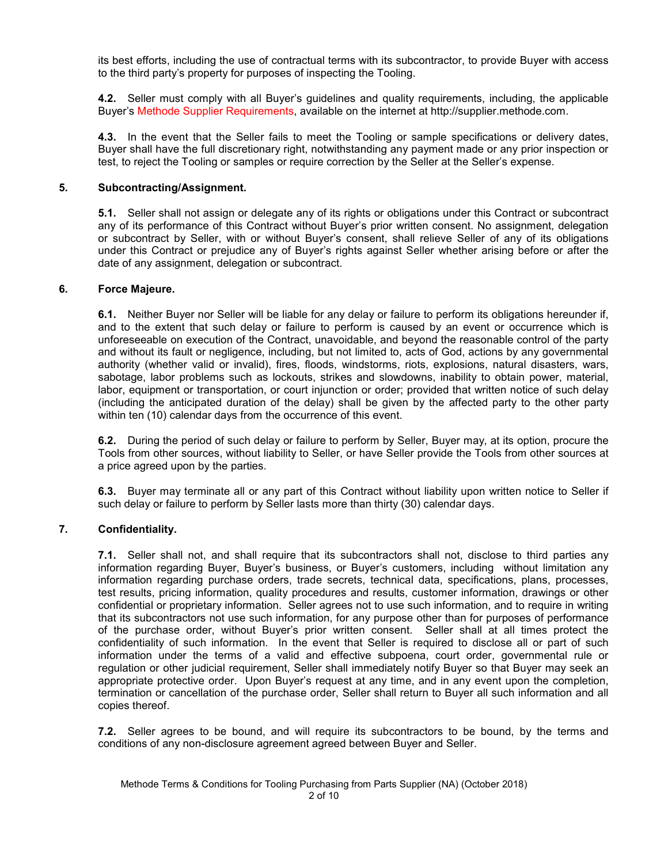its best efforts, including the use of contractual terms with its subcontractor, to provide Buyer with access to the third party's property for purposes of inspecting the Tooling.

**4.2.** Seller must comply with all Buyer's guidelines and quality requirements, including, the applicable Buyer's Methode Supplier Requirements, available on the internet at http://supplier.methode.com.

**4.3.** In the event that the Seller fails to meet the Tooling or sample specifications or delivery dates, Buyer shall have the full discretionary right, notwithstanding any payment made or any prior inspection or test, to reject the Tooling or samples or require correction by the Seller at the Seller's expense.

### **5. Subcontracting/Assignment.**

**5.1.** Seller shall not assign or delegate any of its rights or obligations under this Contract or subcontract any of its performance of this Contract without Buyer's prior written consent. No assignment, delegation or subcontract by Seller, with or without Buyer's consent, shall relieve Seller of any of its obligations under this Contract or prejudice any of Buyer's rights against Seller whether arising before or after the date of any assignment, delegation or subcontract.

#### **6. Force Majeure.**

**6.1.** Neither Buyer nor Seller will be liable for any delay or failure to perform its obligations hereunder if, and to the extent that such delay or failure to perform is caused by an event or occurrence which is unforeseeable on execution of the Contract, unavoidable, and beyond the reasonable control of the party and without its fault or negligence, including, but not limited to, acts of God, actions by any governmental authority (whether valid or invalid), fires, floods, windstorms, riots, explosions, natural disasters, wars, sabotage, labor problems such as lockouts, strikes and slowdowns, inability to obtain power, material, labor, equipment or transportation, or court injunction or order; provided that written notice of such delay (including the anticipated duration of the delay) shall be given by the affected party to the other party within ten (10) calendar days from the occurrence of this event.

**6.2.** During the period of such delay or failure to perform by Seller, Buyer may, at its option, procure the Tools from other sources, without liability to Seller, or have Seller provide the Tools from other sources at a price agreed upon by the parties.

**6.3.** Buyer may terminate all or any part of this Contract without liability upon written notice to Seller if such delay or failure to perform by Seller lasts more than thirty (30) calendar days.

## **7. Confidentiality.**

**7.1.** Seller shall not, and shall require that its subcontractors shall not, disclose to third parties any information regarding Buyer, Buyer's business, or Buyer's customers, including without limitation any information regarding purchase orders, trade secrets, technical data, specifications, plans, processes, test results, pricing information, quality procedures and results, customer information, drawings or other confidential or proprietary information. Seller agrees not to use such information, and to require in writing that its subcontractors not use such information, for any purpose other than for purposes of performance of the purchase order, without Buyer's prior written consent. Seller shall at all times protect the confidentiality of such information. In the event that Seller is required to disclose all or part of such information under the terms of a valid and effective subpoena, court order, governmental rule or regulation or other judicial requirement, Seller shall immediately notify Buyer so that Buyer may seek an appropriate protective order. Upon Buyer's request at any time, and in any event upon the completion, termination or cancellation of the purchase order, Seller shall return to Buyer all such information and all copies thereof.

**7.2.** Seller agrees to be bound, and will require its subcontractors to be bound, by the terms and conditions of any non-disclosure agreement agreed between Buyer and Seller.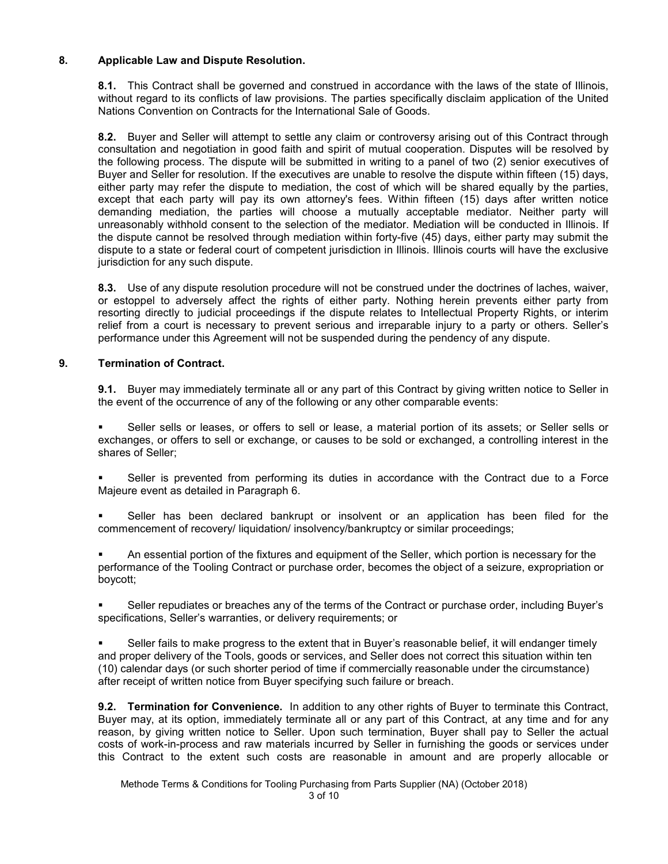## **8. Applicable Law and Dispute Resolution.**

**8.1.** This Contract shall be governed and construed in accordance with the laws of the state of Illinois, without regard to its conflicts of law provisions. The parties specifically disclaim application of the United Nations Convention on Contracts for the International Sale of Goods.

**8.2.** Buyer and Seller will attempt to settle any claim or controversy arising out of this Contract through consultation and negotiation in good faith and spirit of mutual cooperation. Disputes will be resolved by the following process. The dispute will be submitted in writing to a panel of two (2) senior executives of Buyer and Seller for resolution. If the executives are unable to resolve the dispute within fifteen (15) days, either party may refer the dispute to mediation, the cost of which will be shared equally by the parties, except that each party will pay its own attorney's fees. Within fifteen (15) days after written notice demanding mediation, the parties will choose a mutually acceptable mediator. Neither party will unreasonably withhold consent to the selection of the mediator. Mediation will be conducted in Illinois. If the dispute cannot be resolved through mediation within forty-five (45) days, either party may submit the dispute to a state or federal court of competent jurisdiction in Illinois. Illinois courts will have the exclusive jurisdiction for any such dispute.

**8.3.** Use of any dispute resolution procedure will not be construed under the doctrines of laches, waiver, or estoppel to adversely affect the rights of either party. Nothing herein prevents either party from resorting directly to judicial proceedings if the dispute relates to Intellectual Property Rights, or interim relief from a court is necessary to prevent serious and irreparable injury to a party or others. Seller's performance under this Agreement will not be suspended during the pendency of any dispute.

## **9. Termination of Contract.**

**9.1.** Buyer may immediately terminate all or any part of this Contract by giving written notice to Seller in the event of the occurrence of any of the following or any other comparable events:

 Seller sells or leases, or offers to sell or lease, a material portion of its assets; or Seller sells or exchanges, or offers to sell or exchange, or causes to be sold or exchanged, a controlling interest in the shares of Seller;

 Seller is prevented from performing its duties in accordance with the Contract due to a Force Majeure event as detailed in Paragraph 6.

**Seller has been declared bankrupt or insolvent or an application has been filed for the** commencement of recovery/ liquidation/ insolvency/bankruptcy or similar proceedings;

 An essential portion of the fixtures and equipment of the Seller, which portion is necessary for the performance of the Tooling Contract or purchase order, becomes the object of a seizure, expropriation or boycott;

 Seller repudiates or breaches any of the terms of the Contract or purchase order, including Buyer's specifications, Seller's warranties, or delivery requirements; or

 Seller fails to make progress to the extent that in Buyer's reasonable belief, it will endanger timely and proper delivery of the Tools, goods or services, and Seller does not correct this situation within ten (10) calendar days (or such shorter period of time if commercially reasonable under the circumstance) after receipt of written notice from Buyer specifying such failure or breach.

**9.2. Termination for Convenience.** In addition to any other rights of Buyer to terminate this Contract, Buyer may, at its option, immediately terminate all or any part of this Contract, at any time and for any reason, by giving written notice to Seller. Upon such termination, Buyer shall pay to Seller the actual costs of work-in-process and raw materials incurred by Seller in furnishing the goods or services under this Contract to the extent such costs are reasonable in amount and are properly allocable or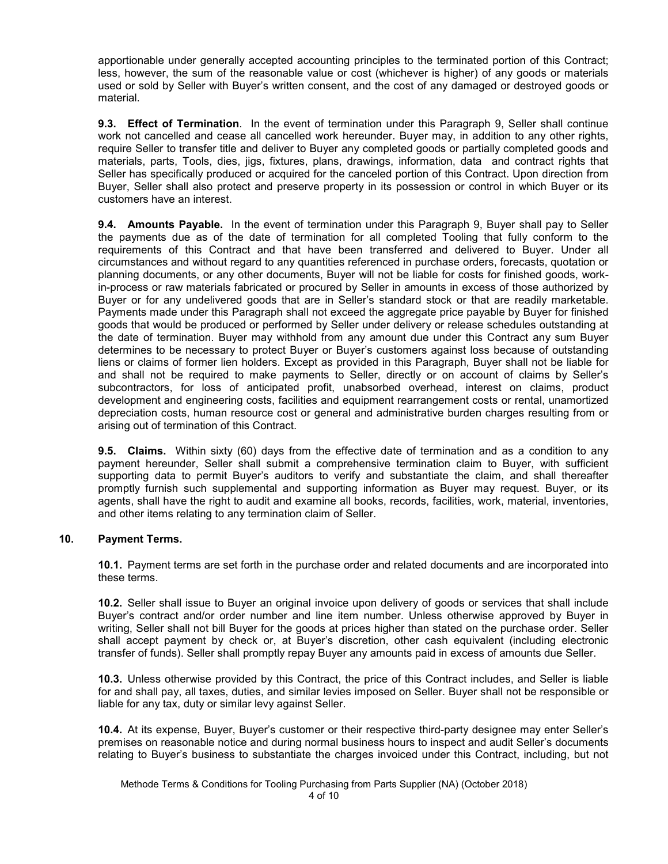apportionable under generally accepted accounting principles to the terminated portion of this Contract; less, however, the sum of the reasonable value or cost (whichever is higher) of any goods or materials used or sold by Seller with Buyer's written consent, and the cost of any damaged or destroyed goods or material.

**9.3. Effect of Termination**. In the event of termination under this Paragraph 9, Seller shall continue work not cancelled and cease all cancelled work hereunder. Buyer may, in addition to any other rights, require Seller to transfer title and deliver to Buyer any completed goods or partially completed goods and materials, parts, Tools, dies, jigs, fixtures, plans, drawings, information, data and contract rights that Seller has specifically produced or acquired for the canceled portion of this Contract. Upon direction from Buyer, Seller shall also protect and preserve property in its possession or control in which Buyer or its customers have an interest.

**9.4. Amounts Payable.** In the event of termination under this Paragraph 9, Buyer shall pay to Seller the payments due as of the date of termination for all completed Tooling that fully conform to the requirements of this Contract and that have been transferred and delivered to Buyer. Under all circumstances and without regard to any quantities referenced in purchase orders, forecasts, quotation or planning documents, or any other documents, Buyer will not be liable for costs for finished goods, workin-process or raw materials fabricated or procured by Seller in amounts in excess of those authorized by Buyer or for any undelivered goods that are in Seller's standard stock or that are readily marketable. Payments made under this Paragraph shall not exceed the aggregate price payable by Buyer for finished goods that would be produced or performed by Seller under delivery or release schedules outstanding at the date of termination. Buyer may withhold from any amount due under this Contract any sum Buyer determines to be necessary to protect Buyer or Buyer's customers against loss because of outstanding liens or claims of former lien holders. Except as provided in this Paragraph, Buyer shall not be liable for and shall not be required to make payments to Seller, directly or on account of claims by Seller's subcontractors, for loss of anticipated profit, unabsorbed overhead, interest on claims, product development and engineering costs, facilities and equipment rearrangement costs or rental, unamortized depreciation costs, human resource cost or general and administrative burden charges resulting from or arising out of termination of this Contract.

**9.5. Claims.** Within sixty (60) days from the effective date of termination and as a condition to any payment hereunder, Seller shall submit a comprehensive termination claim to Buyer, with sufficient supporting data to permit Buyer's auditors to verify and substantiate the claim, and shall thereafter promptly furnish such supplemental and supporting information as Buyer may request. Buyer, or its agents, shall have the right to audit and examine all books, records, facilities, work, material, inventories, and other items relating to any termination claim of Seller.

## **10. Payment Terms.**

**10.1.** Payment terms are set forth in the purchase order and related documents and are incorporated into these terms.

**10.2.** Seller shall issue to Buyer an original invoice upon delivery of goods or services that shall include Buyer's contract and/or order number and line item number. Unless otherwise approved by Buyer in writing, Seller shall not bill Buyer for the goods at prices higher than stated on the purchase order. Seller shall accept payment by check or, at Buyer's discretion, other cash equivalent (including electronic transfer of funds). Seller shall promptly repay Buyer any amounts paid in excess of amounts due Seller.

**10.3.** Unless otherwise provided by this Contract, the price of this Contract includes, and Seller is liable for and shall pay, all taxes, duties, and similar levies imposed on Seller. Buyer shall not be responsible or liable for any tax, duty or similar levy against Seller.

**10.4.** At its expense, Buyer, Buyer's customer or their respective third-party designee may enter Seller's premises on reasonable notice and during normal business hours to inspect and audit Seller's documents relating to Buyer's business to substantiate the charges invoiced under this Contract, including, but not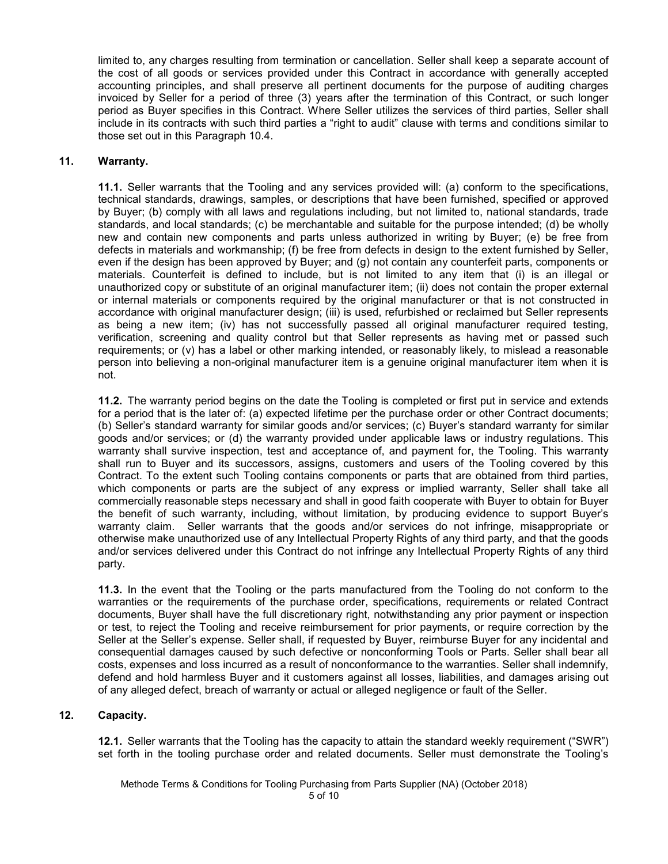limited to, any charges resulting from termination or cancellation. Seller shall keep a separate account of the cost of all goods or services provided under this Contract in accordance with generally accepted accounting principles, and shall preserve all pertinent documents for the purpose of auditing charges invoiced by Seller for a period of three (3) years after the termination of this Contract, or such longer period as Buyer specifies in this Contract. Where Seller utilizes the services of third parties, Seller shall include in its contracts with such third parties a "right to audit" clause with terms and conditions similar to those set out in this Paragraph 10.4.

#### **11. Warranty.**

**11.1.** Seller warrants that the Tooling and any services provided will: (a) conform to the specifications, technical standards, drawings, samples, or descriptions that have been furnished, specified or approved by Buyer; (b) comply with all laws and regulations including, but not limited to, national standards, trade standards, and local standards; (c) be merchantable and suitable for the purpose intended; (d) be wholly new and contain new components and parts unless authorized in writing by Buyer; (e) be free from defects in materials and workmanship; (f) be free from defects in design to the extent furnished by Seller, even if the design has been approved by Buyer; and (g) not contain any counterfeit parts, components or materials. Counterfeit is defined to include, but is not limited to any item that (i) is an illegal or unauthorized copy or substitute of an original manufacturer item; (ii) does not contain the proper external or internal materials or components required by the original manufacturer or that is not constructed in accordance with original manufacturer design; (iii) is used, refurbished or reclaimed but Seller represents as being a new item; (iv) has not successfully passed all original manufacturer required testing, verification, screening and quality control but that Seller represents as having met or passed such requirements; or (v) has a label or other marking intended, or reasonably likely, to mislead a reasonable person into believing a non-original manufacturer item is a genuine original manufacturer item when it is not.

**11.2.** The warranty period begins on the date the Tooling is completed or first put in service and extends for a period that is the later of: (a) expected lifetime per the purchase order or other Contract documents; (b) Seller's standard warranty for similar goods and/or services; (c) Buyer's standard warranty for similar goods and/or services; or (d) the warranty provided under applicable laws or industry regulations. This warranty shall survive inspection, test and acceptance of, and payment for, the Tooling. This warranty shall run to Buyer and its successors, assigns, customers and users of the Tooling covered by this Contract. To the extent such Tooling contains components or parts that are obtained from third parties, which components or parts are the subject of any express or implied warranty, Seller shall take all commercially reasonable steps necessary and shall in good faith cooperate with Buyer to obtain for Buyer the benefit of such warranty, including, without limitation, by producing evidence to support Buyer's warranty claim. Seller warrants that the goods and/or services do not infringe, misappropriate or otherwise make unauthorized use of any Intellectual Property Rights of any third party, and that the goods and/or services delivered under this Contract do not infringe any Intellectual Property Rights of any third party.

**11.3.** In the event that the Tooling or the parts manufactured from the Tooling do not conform to the warranties or the requirements of the purchase order, specifications, requirements or related Contract documents, Buyer shall have the full discretionary right, notwithstanding any prior payment or inspection or test, to reject the Tooling and receive reimbursement for prior payments, or require correction by the Seller at the Seller's expense. Seller shall, if requested by Buyer, reimburse Buyer for any incidental and consequential damages caused by such defective or nonconforming Tools or Parts. Seller shall bear all costs, expenses and loss incurred as a result of nonconformance to the warranties. Seller shall indemnify, defend and hold harmless Buyer and it customers against all losses, liabilities, and damages arising out of any alleged defect, breach of warranty or actual or alleged negligence or fault of the Seller.

#### **12. Capacity.**

**12.1.** Seller warrants that the Tooling has the capacity to attain the standard weekly requirement ("SWR") set forth in the tooling purchase order and related documents. Seller must demonstrate the Tooling's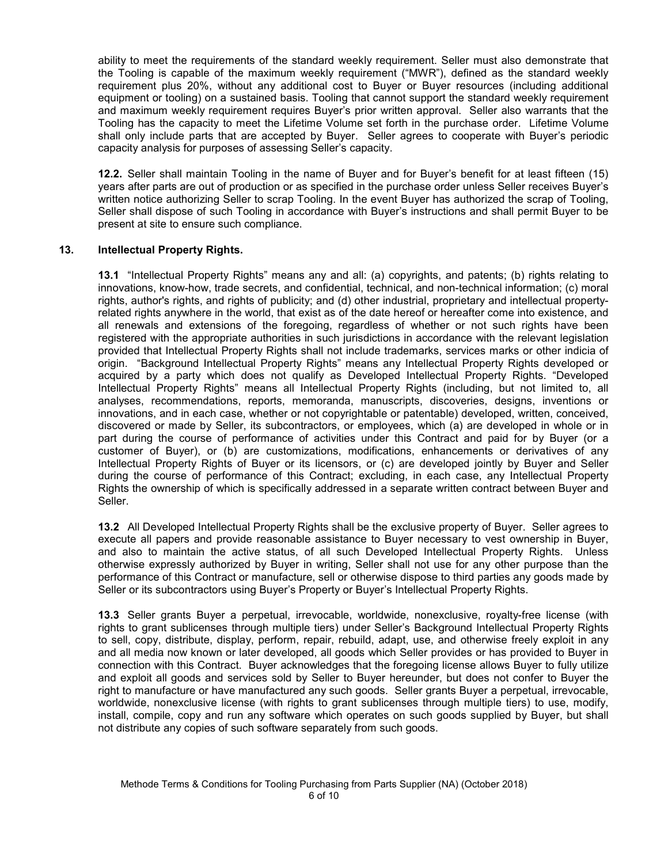ability to meet the requirements of the standard weekly requirement. Seller must also demonstrate that the Tooling is capable of the maximum weekly requirement ("MWR"), defined as the standard weekly requirement plus 20%, without any additional cost to Buyer or Buyer resources (including additional equipment or tooling) on a sustained basis. Tooling that cannot support the standard weekly requirement and maximum weekly requirement requires Buyer's prior written approval. Seller also warrants that the Tooling has the capacity to meet the Lifetime Volume set forth in the purchase order. Lifetime Volume shall only include parts that are accepted by Buyer. Seller agrees to cooperate with Buyer's periodic capacity analysis for purposes of assessing Seller's capacity.

**12.2.** Seller shall maintain Tooling in the name of Buyer and for Buyer's benefit for at least fifteen (15) years after parts are out of production or as specified in the purchase order unless Seller receives Buyer's written notice authorizing Seller to scrap Tooling. In the event Buyer has authorized the scrap of Tooling, Seller shall dispose of such Tooling in accordance with Buyer's instructions and shall permit Buyer to be present at site to ensure such compliance.

## **13. Intellectual Property Rights.**

**13.1** "Intellectual Property Rights" means any and all: (a) copyrights, and patents; (b) rights relating to innovations, know-how, trade secrets, and confidential, technical, and non-technical information; (c) moral rights, author's rights, and rights of publicity; and (d) other industrial, proprietary and intellectual propertyrelated rights anywhere in the world, that exist as of the date hereof or hereafter come into existence, and all renewals and extensions of the foregoing, regardless of whether or not such rights have been registered with the appropriate authorities in such jurisdictions in accordance with the relevant legislation provided that Intellectual Property Rights shall not include trademarks, services marks or other indicia of origin. "Background Intellectual Property Rights" means any Intellectual Property Rights developed or acquired by a party which does not qualify as Developed Intellectual Property Rights. "Developed Intellectual Property Rights" means all Intellectual Property Rights (including, but not limited to, all analyses, recommendations, reports, memoranda, manuscripts, discoveries, designs, inventions or innovations, and in each case, whether or not copyrightable or patentable) developed, written, conceived, discovered or made by Seller, its subcontractors, or employees, which (a) are developed in whole or in part during the course of performance of activities under this Contract and paid for by Buyer (or a customer of Buyer), or (b) are customizations, modifications, enhancements or derivatives of any Intellectual Property Rights of Buyer or its licensors, or (c) are developed jointly by Buyer and Seller during the course of performance of this Contract; excluding, in each case, any Intellectual Property Rights the ownership of which is specifically addressed in a separate written contract between Buyer and Seller.

**13.2** All Developed Intellectual Property Rights shall be the exclusive property of Buyer. Seller agrees to execute all papers and provide reasonable assistance to Buyer necessary to vest ownership in Buyer, and also to maintain the active status, of all such Developed Intellectual Property Rights. Unless otherwise expressly authorized by Buyer in writing, Seller shall not use for any other purpose than the performance of this Contract or manufacture, sell or otherwise dispose to third parties any goods made by Seller or its subcontractors using Buyer's Property or Buyer's Intellectual Property Rights.

**13.3** Seller grants Buyer a perpetual, irrevocable, worldwide, nonexclusive, royalty-free license (with rights to grant sublicenses through multiple tiers) under Seller's Background Intellectual Property Rights to sell, copy, distribute, display, perform, repair, rebuild, adapt, use, and otherwise freely exploit in any and all media now known or later developed, all goods which Seller provides or has provided to Buyer in connection with this Contract. Buyer acknowledges that the foregoing license allows Buyer to fully utilize and exploit all goods and services sold by Seller to Buyer hereunder, but does not confer to Buyer the right to manufacture or have manufactured any such goods. Seller grants Buyer a perpetual, irrevocable, worldwide, nonexclusive license (with rights to grant sublicenses through multiple tiers) to use, modify, install, compile, copy and run any software which operates on such goods supplied by Buyer, but shall not distribute any copies of such software separately from such goods.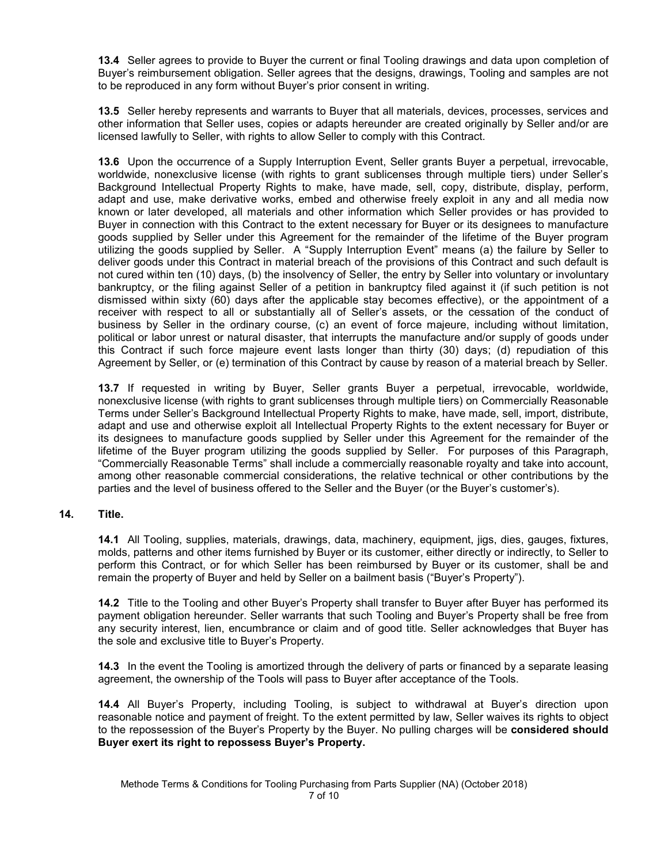**13.4** Seller agrees to provide to Buyer the current or final Tooling drawings and data upon completion of Buyer's reimbursement obligation. Seller agrees that the designs, drawings, Tooling and samples are not to be reproduced in any form without Buyer's prior consent in writing.

**13.5** Seller hereby represents and warrants to Buyer that all materials, devices, processes, services and other information that Seller uses, copies or adapts hereunder are created originally by Seller and/or are licensed lawfully to Seller, with rights to allow Seller to comply with this Contract.

**13.6** Upon the occurrence of a Supply Interruption Event, Seller grants Buyer a perpetual, irrevocable, worldwide, nonexclusive license (with rights to grant sublicenses through multiple tiers) under Seller's Background Intellectual Property Rights to make, have made, sell, copy, distribute, display, perform, adapt and use, make derivative works, embed and otherwise freely exploit in any and all media now known or later developed, all materials and other information which Seller provides or has provided to Buyer in connection with this Contract to the extent necessary for Buyer or its designees to manufacture goods supplied by Seller under this Agreement for the remainder of the lifetime of the Buyer program utilizing the goods supplied by Seller. A "Supply Interruption Event" means (a) the failure by Seller to deliver goods under this Contract in material breach of the provisions of this Contract and such default is not cured within ten (10) days, (b) the insolvency of Seller, the entry by Seller into voluntary or involuntary bankruptcy, or the filing against Seller of a petition in bankruptcy filed against it (if such petition is not dismissed within sixty (60) days after the applicable stay becomes effective), or the appointment of a receiver with respect to all or substantially all of Seller's assets, or the cessation of the conduct of business by Seller in the ordinary course, (c) an event of force majeure, including without limitation, political or labor unrest or natural disaster, that interrupts the manufacture and/or supply of goods under this Contract if such force majeure event lasts longer than thirty (30) days; (d) repudiation of this Agreement by Seller, or (e) termination of this Contract by cause by reason of a material breach by Seller.

**13.7** If requested in writing by Buyer, Seller grants Buyer a perpetual, irrevocable, worldwide, nonexclusive license (with rights to grant sublicenses through multiple tiers) on Commercially Reasonable Terms under Seller's Background Intellectual Property Rights to make, have made, sell, import, distribute, adapt and use and otherwise exploit all Intellectual Property Rights to the extent necessary for Buyer or its designees to manufacture goods supplied by Seller under this Agreement for the remainder of the lifetime of the Buyer program utilizing the goods supplied by Seller. For purposes of this Paragraph, "Commercially Reasonable Terms" shall include a commercially reasonable royalty and take into account, among other reasonable commercial considerations, the relative technical or other contributions by the parties and the level of business offered to the Seller and the Buyer (or the Buyer's customer's).

#### **14. Title.**

**14.1** All Tooling, supplies, materials, drawings, data, machinery, equipment, jigs, dies, gauges, fixtures, molds, patterns and other items furnished by Buyer or its customer, either directly or indirectly, to Seller to perform this Contract, or for which Seller has been reimbursed by Buyer or its customer, shall be and remain the property of Buyer and held by Seller on a bailment basis ("Buyer's Property").

**14.2** Title to the Tooling and other Buyer's Property shall transfer to Buyer after Buyer has performed its payment obligation hereunder. Seller warrants that such Tooling and Buyer's Property shall be free from any security interest, lien, encumbrance or claim and of good title. Seller acknowledges that Buyer has the sole and exclusive title to Buyer's Property.

**14.3** In the event the Tooling is amortized through the delivery of parts or financed by a separate leasing agreement, the ownership of the Tools will pass to Buyer after acceptance of the Tools.

**14.4** All Buyer's Property, including Tooling, is subject to withdrawal at Buyer's direction upon reasonable notice and payment of freight. To the extent permitted by law, Seller waives its rights to object to the repossession of the Buyer's Property by the Buyer. No pulling charges will be **considered should Buyer exert its right to repossess Buyer's Property.**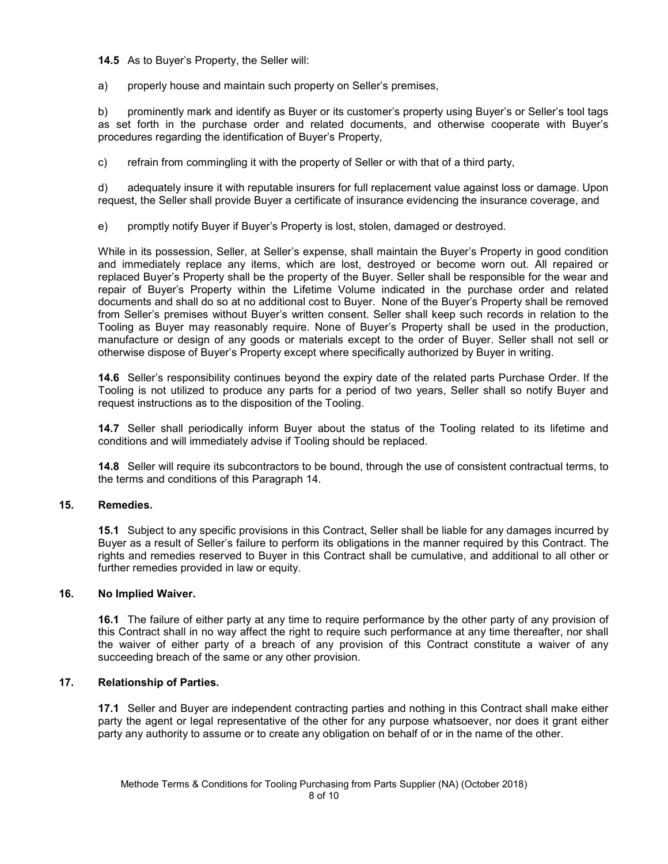**14.5** As to Buyer's Property, the Seller will:

a) properly house and maintain such property on Seller's premises,

b) prominently mark and identify as Buyer or its customer's property using Buyer's or Seller's tool tags as set forth in the purchase order and related documents, and otherwise cooperate with Buyer's procedures regarding the identification of Buyer's Property,

c) refrain from commingling it with the property of Seller or with that of a third party,

d) adequately insure it with reputable insurers for full replacement value against loss or damage. Upon request, the Seller shall provide Buyer a certificate of insurance evidencing the insurance coverage, and

e) promptly notify Buyer if Buyer's Property is lost, stolen, damaged or destroyed.

While in its possession, Seller, at Seller's expense, shall maintain the Buyer's Property in good condition and immediately replace any items, which are lost, destroyed or become worn out. All repaired or replaced Buyer's Property shall be the property of the Buyer. Seller shall be responsible for the wear and repair of Buyer's Property within the Lifetime Volume indicated in the purchase order and related documents and shall do so at no additional cost to Buyer. None of the Buyer's Property shall be removed from Seller's premises without Buyer's written consent. Seller shall keep such records in relation to the Tooling as Buyer may reasonably require. None of Buyer's Property shall be used in the production, manufacture or design of any goods or materials except to the order of Buyer. Seller shall not sell or otherwise dispose of Buyer's Property except where specifically authorized by Buyer in writing.

**14.6** Seller's responsibility continues beyond the expiry date of the related parts Purchase Order. If the Tooling is not utilized to produce any parts for a period of two years, Seller shall so notify Buyer and request instructions as to the disposition of the Tooling.

**14.7** Seller shall periodically inform Buyer about the status of the Tooling related to its lifetime and conditions and will immediately advise if Tooling should be replaced.

**14.8** Seller will require its subcontractors to be bound, through the use of consistent contractual terms, to the terms and conditions of this Paragraph 14.

## **15. Remedies.**

**15.1** Subject to any specific provisions in this Contract, Seller shall be liable for any damages incurred by Buyer as a result of Seller's failure to perform its obligations in the manner required by this Contract. The rights and remedies reserved to Buyer in this Contract shall be cumulative, and additional to all other or further remedies provided in law or equity.

## **16. No Implied Waiver.**

**16.1** The failure of either party at any time to require performance by the other party of any provision of this Contract shall in no way affect the right to require such performance at any time thereafter, nor shall the waiver of either party of a breach of any provision of this Contract constitute a waiver of any succeeding breach of the same or any other provision.

#### **17. Relationship of Parties.**

**17.1** Seller and Buyer are independent contracting parties and nothing in this Contract shall make either party the agent or legal representative of the other for any purpose whatsoever, nor does it grant either party any authority to assume or to create any obligation on behalf of or in the name of the other.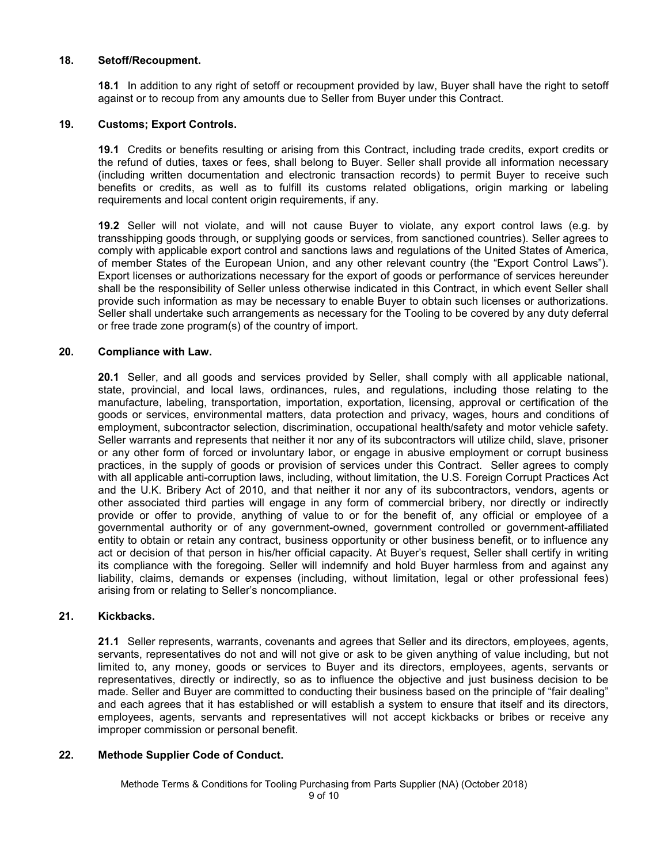#### **18. Setoff/Recoupment.**

**18.1** In addition to any right of setoff or recoupment provided by law, Buyer shall have the right to setoff against or to recoup from any amounts due to Seller from Buyer under this Contract.

#### **19. Customs; Export Controls.**

**19.1** Credits or benefits resulting or arising from this Contract, including trade credits, export credits or the refund of duties, taxes or fees, shall belong to Buyer. Seller shall provide all information necessary (including written documentation and electronic transaction records) to permit Buyer to receive such benefits or credits, as well as to fulfill its customs related obligations, origin marking or labeling requirements and local content origin requirements, if any.

**19.2** Seller will not violate, and will not cause Buyer to violate, any export control laws (e.g. by transshipping goods through, or supplying goods or services, from sanctioned countries). Seller agrees to comply with applicable export control and sanctions laws and regulations of the United States of America, of member States of the European Union, and any other relevant country (the "Export Control Laws"). Export licenses or authorizations necessary for the export of goods or performance of services hereunder shall be the responsibility of Seller unless otherwise indicated in this Contract, in which event Seller shall provide such information as may be necessary to enable Buyer to obtain such licenses or authorizations. Seller shall undertake such arrangements as necessary for the Tooling to be covered by any duty deferral or free trade zone program(s) of the country of import.

#### **20. Compliance with Law.**

**20.1** Seller, and all goods and services provided by Seller, shall comply with all applicable national, state, provincial, and local laws, ordinances, rules, and regulations, including those relating to the manufacture, labeling, transportation, importation, exportation, licensing, approval or certification of the goods or services, environmental matters, data protection and privacy, wages, hours and conditions of employment, subcontractor selection, discrimination, occupational health/safety and motor vehicle safety. Seller warrants and represents that neither it nor any of its subcontractors will utilize child, slave, prisoner or any other form of forced or involuntary labor, or engage in abusive employment or corrupt business practices, in the supply of goods or provision of services under this Contract. Seller agrees to comply with all applicable anti-corruption laws, including, without limitation, the U.S. Foreign Corrupt Practices Act and the U.K. Bribery Act of 2010, and that neither it nor any of its subcontractors, vendors, agents or other associated third parties will engage in any form of commercial bribery, nor directly or indirectly provide or offer to provide, anything of value to or for the benefit of, any official or employee of a governmental authority or of any government-owned, government controlled or government-affiliated entity to obtain or retain any contract, business opportunity or other business benefit, or to influence any act or decision of that person in his/her official capacity. At Buyer's request, Seller shall certify in writing its compliance with the foregoing. Seller will indemnify and hold Buyer harmless from and against any liability, claims, demands or expenses (including, without limitation, legal or other professional fees) arising from or relating to Seller's noncompliance.

#### **21. Kickbacks.**

**21.1** Seller represents, warrants, covenants and agrees that Seller and its directors, employees, agents, servants, representatives do not and will not give or ask to be given anything of value including, but not limited to, any money, goods or services to Buyer and its directors, employees, agents, servants or representatives, directly or indirectly, so as to influence the objective and just business decision to be made. Seller and Buyer are committed to conducting their business based on the principle of "fair dealing" and each agrees that it has established or will establish a system to ensure that itself and its directors, employees, agents, servants and representatives will not accept kickbacks or bribes or receive any improper commission or personal benefit.

## **22. Methode Supplier Code of Conduct.**

Methode Terms & Conditions for Tooling Purchasing from Parts Supplier (NA) (October 2018)